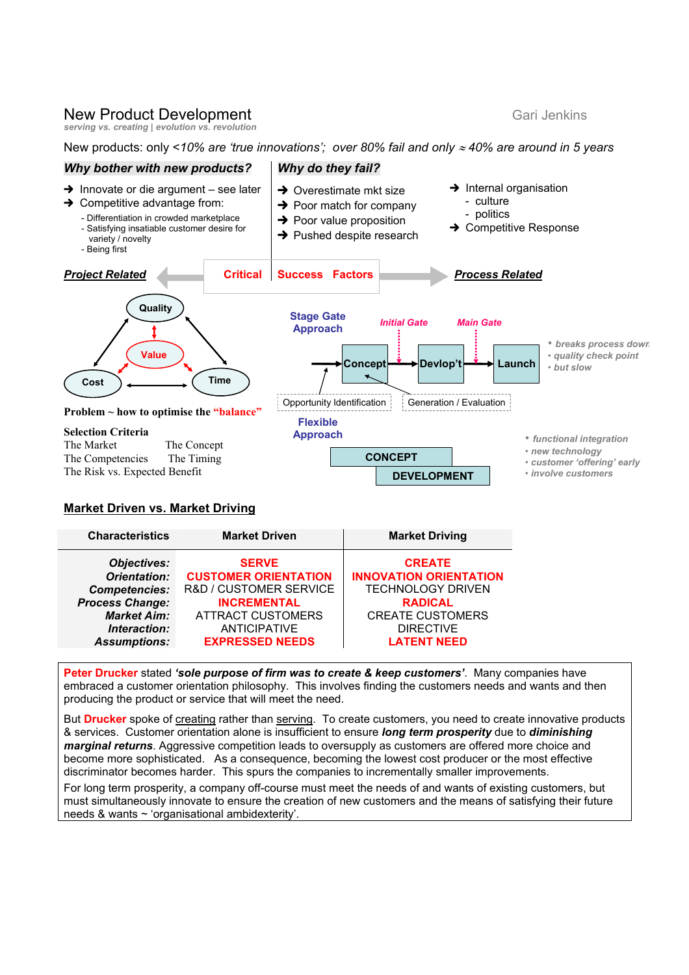# **New Product Development Gari Jenkins** Gari Jenkins

*serving vs. creating | evolution vs. revolution* 

New products: only <*10% are 'true innovations'; over 80% fail and only* ≈ *40% are around in 5 years* 



#### **Market Driven vs. Market Driving**

| <b>Characteristics</b> | <b>Market Driven</b>        | <b>Market Driving</b>         |
|------------------------|-----------------------------|-------------------------------|
| <b>Objectives:</b>     | <b>SERVE</b>                | <b>CREATE</b>                 |
| Orientation:           | <b>CUSTOMER ORIENTATION</b> | <b>INNOVATION ORIENTATION</b> |
| <b>Competencies:</b>   | R&D / CUSTOMER SERVICE      | <b>TECHNOLOGY DRIVEN</b>      |
| <b>Process Change:</b> | <b>INCREMENTAL</b>          | <b>RADICAL</b>                |
| <b>Market Aim:</b>     | <b>ATTRACT CUSTOMERS</b>    | <b>CREATE CUSTOMERS</b>       |
| Interaction:           | <b>ANTICIPATIVE</b>         | <b>DIRECTIVE</b>              |
| <b>Assumptions:</b>    | <b>EXPRESSED NEEDS</b>      | <b>LATENT NEED</b>            |

**Peter Drucker** stated *'sole purpose of firm was to create & keep customers'*. Many companies have embraced a customer orientation philosophy. This involves finding the customers needs and wants and then producing the product or service that will meet the need.

But **Drucker** spoke of creating rather than serving. To create customers, you need to create innovative products & services. Customer orientation alone is insufficient to ensure *long term prosperity* due to *diminishing marginal returns*. Aggressive competition leads to oversupply as customers are offered more choice and become more sophisticated. As a consequence, becoming the lowest cost producer or the most effective discriminator becomes harder. This spurs the companies to incrementally smaller improvements.

For long term prosperity, a company off-course must meet the needs of and wants of existing customers, but must simultaneously innovate to ensure the creation of new customers and the means of satisfying their future needs & wants ~ 'organisational ambidexterity'.